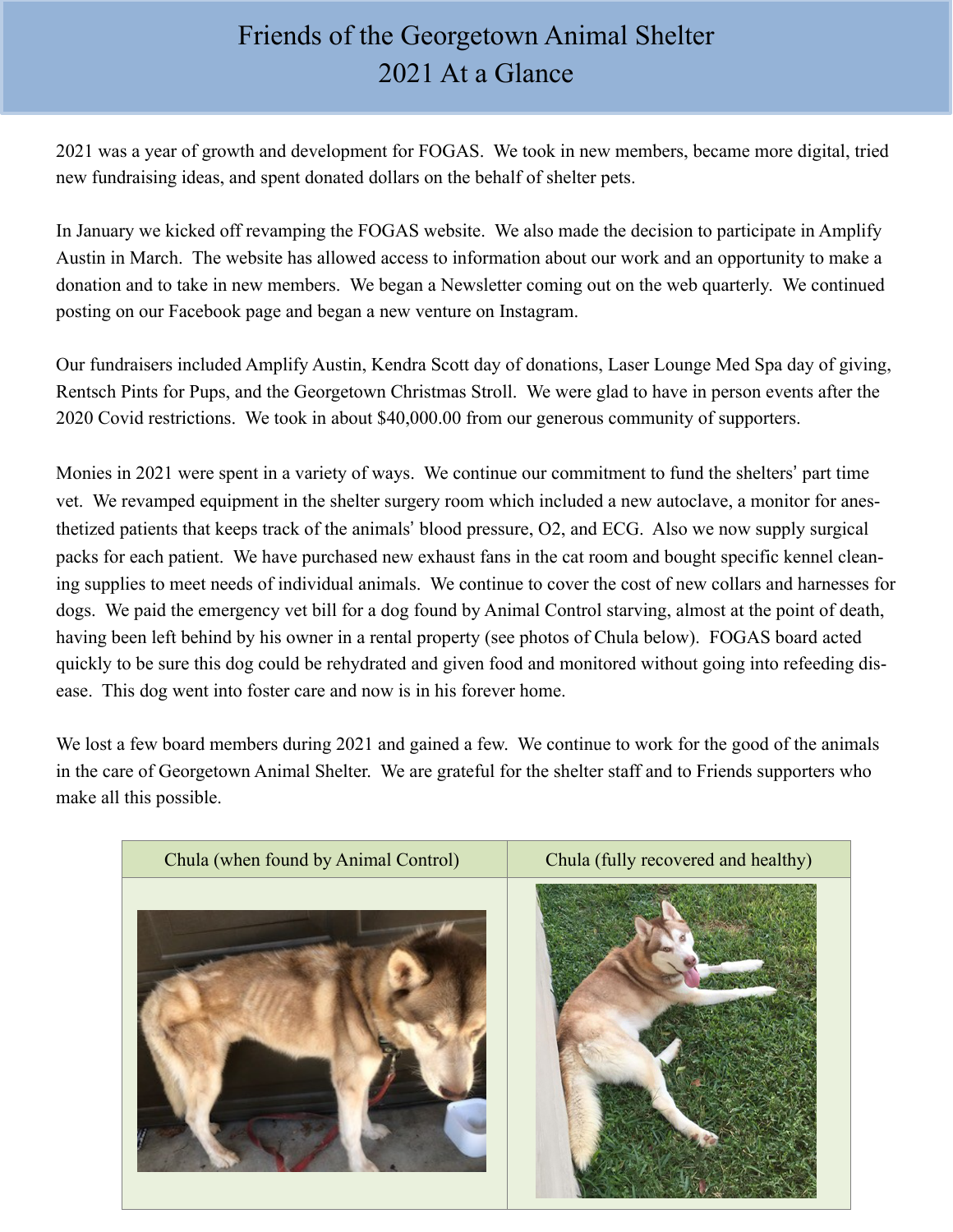## Friends of the Georgetown Animal Shelter 2021 At a Glance

2021 was a year of growth and development for FOGAS. We took in new members, became more digital, tried new fundraising ideas, and spent donated dollars on the behalf of shelter pets.

In January we kicked off revamping the FOGAS website. We also made the decision to participate in Amplify Austin in March. The website has allowed access to information about our work and an opportunity to make a donation and to take in new members. We began a Newsletter coming out on the web quarterly. We continued posting on our Facebook page and began a new venture on Instagram.

Our fundraisers included Amplify Austin, Kendra Scott day of donations, Laser Lounge Med Spa day of giving, Rentsch Pints for Pups, and the Georgetown Christmas Stroll. We were glad to have in person events after the 2020 Covid restrictions. We took in about \$40,000.00 from our generous community of supporters.

Monies in 2021 were spent in a variety of ways. We continue our commitment to fund the shelters' part time vet. We revamped equipment in the shelter surgery room which included a new autoclave, a monitor for anesthetized patients that keeps track of the animals' blood pressure, O2, and ECG. Also we now supply surgical packs for each patient. We have purchased new exhaust fans in the cat room and bought specific kennel cleaning supplies to meet needs of individual animals. We continue to cover the cost of new collars and harnesses for dogs. We paid the emergency vet bill for a dog found by Animal Control starving, almost at the point of death, having been left behind by his owner in a rental property (see photos of Chula below). FOGAS board acted quickly to be sure this dog could be rehydrated and given food and monitored without going into refeeding disease. This dog went into foster care and now is in his forever home.

We lost a few board members during 2021 and gained a few. We continue to work for the good of the animals in the care of Georgetown Animal Shelter. We are grateful for the shelter staff and to Friends supporters who make all this possible.